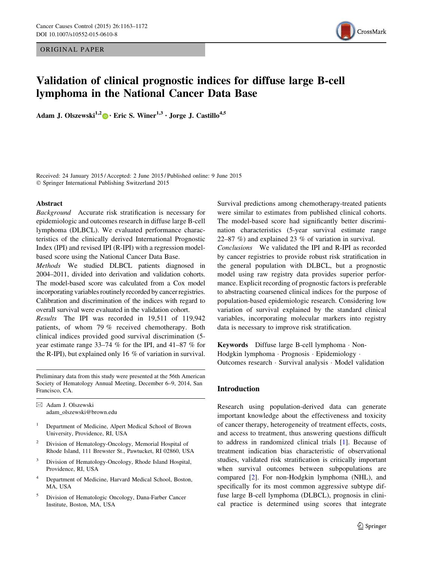ORIGINAL PAPER



# Validation of clinical prognostic indices for diffuse large B-cell lymphoma in the National Cancer Data Base

Adam J. Olszewski<sup>1,2</sup>  $\bullet$  · Eric S. Winer<sup>1,3</sup> · Jorge J. Castillo<sup>4,5</sup>

Received: 24 January 2015 / Accepted: 2 June 2015 / Published online: 9 June 2015 - Springer International Publishing Switzerland 2015

#### Abstract

Background Accurate risk stratification is necessary for epidemiologic and outcomes research in diffuse large B-cell lymphoma (DLBCL). We evaluated performance characteristics of the clinically derived International Prognostic Index (IPI) and revised IPI (R-IPI) with a regression modelbased score using the National Cancer Data Base.

Methods We studied DLBCL patients diagnosed in 2004–2011, divided into derivation and validation cohorts. The model-based score was calculated from a Cox model incorporating variables routinely recorded by cancer registries. Calibration and discrimination of the indices with regard to overall survival were evaluated in the validation cohort.

Results The IPI was recorded in 19,511 of 119,942 patients, of whom 79 % received chemotherapy. Both clinical indices provided good survival discrimination (5 year estimate range 33–74 % for the IPI, and 41–87 % for the R-IPI), but explained only 16 % of variation in survival.

Preliminary data from this study were presented at the 56th American Society of Hematology Annual Meeting, December 6–9, 2014, San Francisco, CA.

& Adam J. Olszewski adam\_olszewski@brown.edu

- <sup>1</sup> Department of Medicine, Alpert Medical School of Brown University, Providence, RI, USA
- <sup>2</sup> Division of Hematology-Oncology, Memorial Hospital of Rhode Island, 111 Brewster St., Pawtucket, RI 02860, USA
- <sup>3</sup> Division of Hematology-Oncology, Rhode Island Hospital, Providence, RI, USA
- <sup>4</sup> Department of Medicine, Harvard Medical School, Boston, MA, USA
- <sup>5</sup> Division of Hematologic Oncology, Dana-Farber Cancer Institute, Boston, MA, USA

Survival predictions among chemotherapy-treated patients were similar to estimates from published clinical cohorts. The model-based score had significantly better discrimination characteristics (5-year survival estimate range 22–87 %) and explained 23 % of variation in survival. Conclusions We validated the IPI and R-IPI as recorded by cancer registries to provide robust risk stratification in the general population with DLBCL, but a prognostic model using raw registry data provides superior performance. Explicit recording of prognostic factors is preferable to abstracting coarsened clinical indices for the purpose of population-based epidemiologic research. Considering low variation of survival explained by the standard clinical variables, incorporating molecular markers into registry data is necessary to improve risk stratification.

Keywords Diffuse large B-cell lymphoma - Non-Hodgkin lymphoma - Prognosis - Epidemiology - Outcomes research - Survival analysis - Model validation

# Introduction

Research using population-derived data can generate important knowledge about the effectiveness and toxicity of cancer therapy, heterogeneity of treatment effects, costs, and access to treatment, thus answering questions difficult to address in randomized clinical trials [[1\]](#page-8-0). Because of treatment indication bias characteristic of observational studies, validated risk stratification is critically important when survival outcomes between subpopulations are compared [\[2](#page-8-0)]. For non-Hodgkin lymphoma (NHL), and specifically for its most common aggressive subtype diffuse large B-cell lymphoma (DLBCL), prognosis in clinical practice is determined using scores that integrate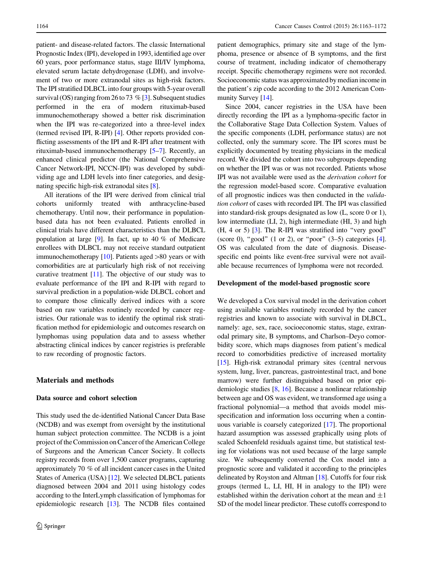patient- and disease-related factors. The classic International Prognostic Index (IPI), developed in 1993, identified age over 60 years, poor performance status, stage III/IV lymphoma, elevated serum lactate dehydrogenase (LDH), and involvement of two or more extranodal sites as high-risk factors. The IPI stratified DLBCL into four groups with 5-year overall survival (OS) ranging from 26 to 73 % [\[3](#page-8-0)]. Subsequent studies performed in the era of modern rituximab-based immunochemotherapy showed a better risk discrimination when the IPI was re-categorized into a three-level index (termed revised IPI, R-IPI) [[4](#page-8-0)]. Other reports provided conflicting assessments of the IPI and R-IPI after treatment with rituximab-based immunochemotherapy [\[5–7\]](#page-8-0). Recently, an enhanced clinical predictor (the National Comprehensive Cancer Network-IPI, NCCN-IPI) was developed by subdividing age and LDH levels into finer categories, and designating specific high-risk extranodal sites [[8\]](#page-8-0).

All iterations of the IPI were derived from clinical trial cohorts uniformly treated with anthracycline-based chemotherapy. Until now, their performance in populationbased data has not been evaluated. Patients enrolled in clinical trials have different characteristics than the DLBCL population at large [[9\]](#page-8-0). In fact, up to 40 % of Medicare enrollees with DLBCL may not receive standard outpatient immunochemotherapy  $[10]$  $[10]$ . Patients aged  $>80$  years or with comorbidities are at particularly high risk of not receiving curative treatment [[11](#page-8-0)]. The objective of our study was to evaluate performance of the IPI and R-IPI with regard to survival prediction in a population-wide DLBCL cohort and to compare those clinically derived indices with a score based on raw variables routinely recorded by cancer registries. Our rationale was to identify the optimal risk stratification method for epidemiologic and outcomes research on lymphomas using population data and to assess whether abstracting clinical indices by cancer registries is preferable to raw recording of prognostic factors.

# Materials and methods

### Data source and cohort selection

This study used the de-identified National Cancer Data Base (NCDB) and was exempt from oversight by the institutional human subject protection committee. The NCDB is a joint project of the Commission on Cancer of the American College of Surgeons and the American Cancer Society. It collects registry records from over 1,500 cancer programs, capturing approximately 70 % of all incident cancer cases in the United States of America (USA) [[12](#page-8-0)]. We selected DLBCL patients diagnosed between 2004 and 2011 using histology codes according to the InterLymph classification of lymphomas for epidemiologic research [\[13](#page-8-0)]. The NCDB files contained patient demographics, primary site and stage of the lymphoma, presence or absence of B symptoms, and the first course of treatment, including indicator of chemotherapy receipt. Specific chemotherapy regimens were not recorded. Socioeconomic status was approximated by median income in the patient's zip code according to the 2012 American Com-munity Survey [[14\]](#page-8-0).

Since 2004, cancer registries in the USA have been directly recording the IPI as a lymphoma-specific factor in the Collaborative Stage Data Collection System. Values of the specific components (LDH, performance status) are not collected, only the summary score. The IPI scores must be explicitly documented by treating physicians in the medical record. We divided the cohort into two subgroups depending on whether the IPI was or was not recorded. Patients whose IPI was not available were used as the derivation cohort for the regression model-based score. Comparative evaluation of all prognostic indices was then conducted in the validation cohort of cases with recorded IPI. The IPI was classified into standard-risk groups designated as low (L, score 0 or 1), low intermediate (LI, 2), high intermediate (HI, 3) and high  $(H, 4 \text{ or } 5)$  [\[3](#page-8-0)]. The R-IPI was stratified into "very good" (score 0), "good"  $(1 \text{ or } 2)$ , or "poor"  $(3-5)$  categories  $[4]$  $[4]$ . OS was calculated from the date of diagnosis. Diseasespecific end points like event-free survival were not available because recurrences of lymphoma were not recorded.

#### Development of the model-based prognostic score

We developed a Cox survival model in the derivation cohort using available variables routinely recorded by the cancer registries and known to associate with survival in DLBCL, namely: age, sex, race, socioeconomic status, stage, extranodal primary site, B symptoms, and Charlson–Deyo comorbidity score, which maps diagnoses from patient's medical record to comorbidities predictive of increased mortality [\[15](#page-8-0)]. High-risk extranodal primary sites (central nervous system, lung, liver, pancreas, gastrointestinal tract, and bone marrow) were further distinguished based on prior epidemiologic studies [\[8](#page-8-0), [16\]](#page-8-0). Because a nonlinear relationship between age and OS was evident, we transformed age using a fractional polynomial—a method that avoids model misspecification and information loss occurring when a continuous variable is coarsely categorized [\[17\]](#page-8-0). The proportional hazard assumption was assessed graphically using plots of scaled Schoenfeld residuals against time, but statistical testing for violations was not used because of the large sample size. We subsequently converted the Cox model into a prognostic score and validated it according to the principles delineated by Royston and Altman [[18](#page-8-0)]. Cutoffs for four risk groups (termed L, LI, HI, H in analogy to the IPI) were established within the derivation cohort at the mean and  $\pm 1$ SD of the model linear predictor. These cutoffs correspond to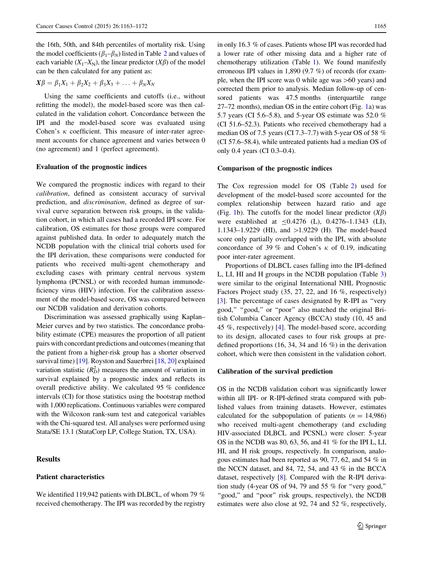the 16th, 50th, and 84th percentiles of mortality risk. Using the model coefficients ( $\beta_1-\beta_N$ ) listed in Table [2](#page-5-0) and values of each variable  $(X_1-X_N)$ , the linear predictor  $(X\beta)$  of the model can be then calculated for any patient as:

$$
X\beta=\beta_1X_1+\beta_2X_2+\beta_3X_3+\ldots+\beta_NX_N
$$

Using the same coefficients and cutoffs (i.e., without refitting the model), the model-based score was then calculated in the validation cohort. Concordance between the IPI and the model-based score was evaluated using Cohen's  $\kappa$  coefficient. This measure of inter-rater agreement accounts for chance agreement and varies between 0 (no agreement) and 1 (perfect agreement).

# Evaluation of the prognostic indices

We compared the prognostic indices with regard to their calibration, defined as consistent accuracy of survival prediction, and discrimination, defined as degree of survival curve separation between risk groups, in the validation cohort, in which all cases had a recorded IPI score. For calibration, OS estimates for those groups were compared against published data. In order to adequately match the NCDB population with the clinical trial cohorts used for the IPI derivation, these comparisons were conducted for patients who received multi-agent chemotherapy and excluding cases with primary central nervous system lymphoma (PCNSL) or with recorded human immunodeficiency virus (HIV) infection. For the calibration assessment of the model-based score, OS was compared between our NCDB validation and derivation cohorts.

Discrimination was assessed graphically using Kaplan– Meier curves and by two statistics. The concordance probability estimate (CPE) measures the proportion of all patient pairs with concordant predictions and outcomes (meaning that the patient from a higher-risk group has a shorter observed survival time) [[19](#page-8-0)]. Royston and Sauerbrei [[18](#page-8-0), [20\]](#page-8-0) explained variation statistic  $(R_D^2)$  measures the amount of variation in survival explained by a prognostic index and reflects its overall predictive ability. We calculated 95 % confidence intervals (CI) for those statistics using the bootstrap method with 1,000 replications. Continuous variables were compared with the Wilcoxon rank-sum test and categorical variables with the Chi-squared test. All analyses were performed using Stata/SE 13.1 (StataCorp LP, College Station, TX, USA).

# **Results**

# Patient characteristics

We identified 119,942 patients with DLBCL, of whom 79 % received chemotherapy. The IPI was recorded by the registry in only 16.3 % of cases. Patients whose IPI was recorded had a lower rate of other missing data and a higher rate of chemotherapy utilization (Table [1](#page-3-0)). We found manifestly erroneous IPI values in 1,890 (9.7 %) of records (for example, when the IPI score was 0 while age was  $>60$  years) and corrected them prior to analysis. Median follow-up of censored patients was 47.5 months (interquartile range 27–72 months), median OS in the entire cohort (Fig. [1](#page-4-0)a) was 5.7 years (CI 5.6–5.8), and 5-year OS estimate was 52.0 % (CI 51.6–52.3). Patients who received chemotherapy had a median OS of 7.5 years (CI 7.3–7.7) with 5-year OS of 58 % (CI 57.6–58.4), while untreated patients had a median OS of only 0.4 years (CI 0.3–0.4).

#### Comparison of the prognostic indices

The Cox regression model for OS (Table [2](#page-5-0)) used for development of the model-based score accounted for the complex relationship between hazard ratio and age (Fig. [1b](#page-4-0)). The cutoffs for the model linear predictor  $(X\beta)$ were established at  $\leq 0.4276$  (L), 0.4276–1.1343 (LI), 1.1343–1.9229 (HI), and >1.9229 (H). The model-based score only partially overlapped with the IPI, with absolute concordance of 39 % and Cohen's  $\kappa$  of 0.19, indicating poor inter-rater agreement.

Proportions of DLBCL cases falling into the IPI-defined L, LI, HI and H groups in the NCDB population (Table [3\)](#page-6-0) were similar to the original International NHL Prognostic Factors Project study (35, 27, 22, and 16 %, respectively) [\[3](#page-8-0)]. The percentage of cases designated by R-IPI as "very" good,'' ''good,'' or ''poor'' also matched the original British Columbia Cancer Agency (BCCA) study (10, 45 and 45 %, respectively) [\[4](#page-8-0)]. The model-based score, according to its design, allocated cases to four risk groups at predefined proportions (16, 34, 34 and 16 %) in the derivation cohort, which were then consistent in the validation cohort.

#### Calibration of the survival prediction

OS in the NCDB validation cohort was significantly lower within all IPI- or R-IPI-defined strata compared with published values from training datasets. However, estimates calculated for the subpopulation of patients  $(n = 14,986)$ who received multi-agent chemotherapy (and excluding HIV-associated DLBCL and PCSNL) were closer: 5-year OS in the NCDB was 80, 63, 56, and 41 % for the IPI L, LI, HI, and H risk groups, respectively. In comparison, analogous estimates had been reported as 90, 77, 62, and 54 % in the NCCN dataset, and 84, 72, 54, and 43 % in the BCCA dataset, respectively [\[8](#page-8-0)]. Compared with the R-IPI derivation study (4-year OS of 94, 79 and 55  $%$  for "very good," "good," and "poor" risk groups, respectively), the NCDB estimates were also close at 92, 74 and 52 %, respectively,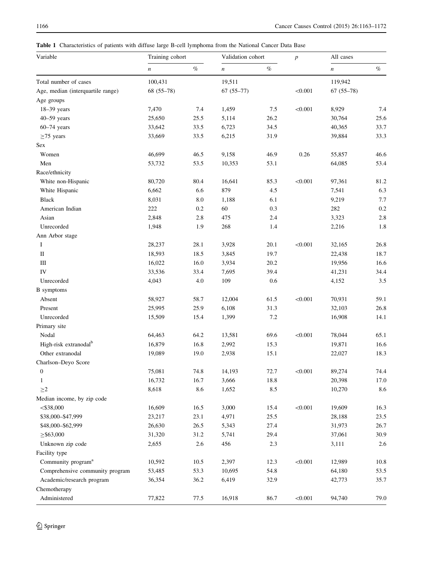<span id="page-3-0"></span>Table 1 Characteristics of patients with diffuse large B-cell lymphoma from the National Cancer Data Base

| Variable                          | Training cohort  |         | Validation cohort |      | $\boldsymbol{p}$ | All cases        |      |
|-----------------------------------|------------------|---------|-------------------|------|------------------|------------------|------|
|                                   | $\boldsymbol{n}$ | $\%$    | $\sqrt{n}$        | $\%$ |                  | $\boldsymbol{n}$ | $\%$ |
| Total number of cases             | 100,431          |         | 19,511            |      |                  | 119,942          |      |
| Age, median (interquartile range) | 68 (55-78)       |         | $67(55-77)$       |      | < 0.001          | $67(55-78)$      |      |
| Age groups                        |                  |         |                   |      |                  |                  |      |
| 18-39 years                       | 7,470            | 7.4     | 1,459             | 7.5  | < 0.001          | 8,929            | 7.4  |
| $40-59$ years                     | 25,650           | 25.5    | 5,114             | 26.2 |                  | 30,764           | 25.6 |
| $60-74$ years                     | 33,642           | 33.5    | 6,723             | 34.5 |                  | 40,365           | 33.7 |
| $\geq$ 75 years                   | 33,669           | 33.5    | 6,215             | 31.9 |                  | 39,884           | 33.3 |
| Sex                               |                  |         |                   |      |                  |                  |      |
| Women                             | 46,699           | 46.5    | 9,158             | 46.9 | 0.26             | 55,857           | 46.6 |
| Men                               | 53,732           | 53.5    | 10,353            | 53.1 |                  | 64,085           | 53.4 |
| Race/ethnicity                    |                  |         |                   |      |                  |                  |      |
| White non-Hispanic                | 80,720           | 80.4    | 16,641            | 85.3 | < 0.001          | 97,361           | 81.2 |
| White Hispanic                    | 6,662            | 6.6     | 879               | 4.5  |                  | 7,541            | 6.3  |
| Black                             | 8,031            | 8.0     | 1,188             | 6.1  |                  | 9,219            | 7.7  |
| American Indian                   | 222              | 0.2     | 60                | 0.3  |                  | 282              | 0.2  |
| Asian                             | 2,848            | 2.8     | 475               | 2.4  |                  | 3,323            | 2.8  |
| Unrecorded                        | 1,948            | 1.9     | 268               | 1.4  |                  | 2,216            | 1.8  |
| Ann Arbor stage                   |                  |         |                   |      |                  |                  |      |
| Ι                                 | 28,237           | 28.1    | 3,928             | 20.1 | < 0.001          | 32,165           | 26.8 |
| $\rm II$                          | 18,593           | 18.5    | 3,845             | 19.7 |                  | 22,438           | 18.7 |
| $\mathop{\rm III}$                | 16,022           | 16.0    | 3,934             | 20.2 |                  | 19,956           | 16.6 |
| ${\rm IV}$                        | 33,536           | 33.4    | 7,695             | 39.4 |                  | 41,231           | 34.4 |
| Unrecorded                        | 4,043            | 4.0     | 109               | 0.6  |                  | 4,152            | 3.5  |
| <b>B</b> symptoms                 |                  |         |                   |      |                  |                  |      |
| Absent                            | 58,927           | 58.7    | 12,004            | 61.5 | < 0.001          | 70,931           | 59.1 |
| Present                           | 25,995           | 25.9    | 6,108             | 31.3 |                  | 32,103           | 26.8 |
| Unrecorded                        | 15,509           | 15.4    | 1,399             | 7.2  |                  | 16,908           | 14.1 |
| Primary site                      |                  |         |                   |      |                  |                  |      |
| Nodal                             | 64,463           | 64.2    | 13,581            | 69.6 | < 0.001          | 78,044           | 65.1 |
| High-risk extranodal <sup>b</sup> | 16,879           | 16.8    | 2,992             | 15.3 |                  | 19,871           | 16.6 |
| Other extranodal                  | 19,089           | 19.0    | 2,938             | 15.1 |                  | 22,027           | 18.3 |
| Charlson-Deyo Score               |                  |         |                   |      |                  |                  |      |
| $\boldsymbol{0}$                  | 75,081           | 74.8    | 14,193            | 72.7 | < 0.001          | 89,274           | 74.4 |
| 1                                 | 16,732           | 16.7    | 3,666             | 18.8 |                  | 20,398           | 17.0 |
| $\geq$ 2                          | 8,618            | 8.6     | 1,652             | 8.5  |                  | 10,270           | 8.6  |
| Median income, by zip code        |                  |         |                   |      |                  |                  |      |
| $<$ \$38,000                      | 16,609           | 16.5    | 3,000             | 15.4 | < 0.001          | 19,609           | 16.3 |
| \$38,000-\$47,999                 | 23,217           | 23.1    | 4,971             | 25.5 |                  | 28,188           | 23.5 |
| \$48,000-\$62,999                 | 26,630           | 26.5    | 5,343             | 27.4 |                  | 31,973           | 26.7 |
| $\geq$ \$63,000                   | 31,320           | 31.2    | 5,741             | 29.4 |                  | 37,061           | 30.9 |
| Unknown zip code                  | 2,655            | $2.6\,$ | 456               | 2.3  |                  | 3,111            | 2.6  |
| Facility type                     |                  |         |                   |      |                  |                  |      |
| Community program <sup>a</sup>    | 10,592           | 10.5    | 2,397             | 12.3 | < 0.001          | 12,989           | 10.8 |
| Comprehensive community program   | 53,485           | 53.3    | 10,695            | 54.8 |                  | 64,180           | 53.5 |
| Academic/research program         | 36,354           | 36.2    | 6,419             | 32.9 |                  | 42,773           | 35.7 |
| Chemotherapy                      |                  |         |                   |      |                  |                  |      |
| Administered                      | 77,822           | 77.5    | 16,918            | 86.7 | < 0.001          | 94,740           | 79.0 |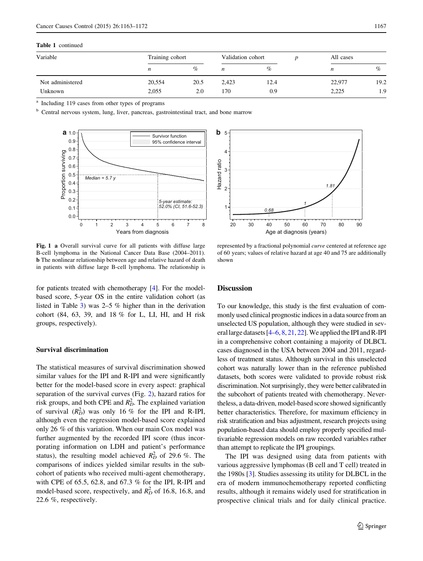# <span id="page-4-0"></span>Table 1 continued

| Variable         | Training cohort |      | Validation cohort |      | All cases |      |
|------------------|-----------------|------|-------------------|------|-----------|------|
|                  | n               | $\%$ | n                 | $\%$ | n         | $\%$ |
| Not administered | 20,554          | 20.5 | 2,423             | 12.4 | 22,977    | 19.2 |
| Unknown          | 2,055           | 2.0  | 170               | 0.9  | 2,225     | 1.9  |

<sup>a</sup> Including 119 cases from other types of programs

<sup>b</sup> Central nervous system, lung, liver, pancreas, gastrointestinal tract, and bone marrow



Fig. 1 a Overall survival curve for all patients with diffuse large B-cell lymphoma in the National Cancer Data Base (2004–2011). b The nonlinear relationship between age and relative hazard of death in patients with diffuse large B-cell lymphoma. The relationship is

for patients treated with chemotherapy [\[4](#page-8-0)]. For the modelbased score, 5-year OS in the entire validation cohort (as listed in Table [3\)](#page-6-0) was 2–5 % higher than in the derivation cohort (84, 63, 39, and 18 % for L, LI, HI, and H risk groups, respectively).

# Survival discrimination

The statistical measures of survival discrimination showed similar values for the IPI and R-IPI and were significantly better for the model-based score in every aspect: graphical separation of the survival curves (Fig. [2\)](#page-6-0), hazard ratios for risk groups, and both CPE and  $R_D^2$ . The explained variation of survival  $(R_D^2)$  was only 16 % for the IPI and R-IPI, although even the regression model-based score explained only 26 % of this variation. When our main Cox model was further augmented by the recorded IPI score (thus incorporating information on LDH and patient's performance status), the resulting model achieved  $R_D^2$  of 29.6 %. The comparisons of indices yielded similar results in the subcohort of patients who received multi-agent chemotherapy, with CPE of 65.5, 62.8, and 67.3 % for the IPI, R-IPI and model-based score, respectively, and  $R_D^2$  of 16.8, 16.8, and 22.6 %, respectively.



represented by a fractional polynomial curve centered at reference age of 60 years; values of relative hazard at age 40 and 75 are additionally shown

# **Discussion**

To our knowledge, this study is the first evaluation of commonly used clinical prognostic indices in a data source from an unselected US population, although they were studied in several large datasets  $[4–6, 8, 21, 22]$  $[4–6, 8, 21, 22]$  $[4–6, 8, 21, 22]$  $[4–6, 8, 21, 22]$  $[4–6, 8, 21, 22]$  $[4–6, 8, 21, 22]$  $[4–6, 8, 21, 22]$  $[4–6, 8, 21, 22]$  $[4–6, 8, 21, 22]$  $[4–6, 8, 21, 22]$ . We applied the IPI and R-IPI in a comprehensive cohort containing a majority of DLBCL cases diagnosed in the USA between 2004 and 2011, regardless of treatment status. Although survival in this unselected cohort was naturally lower than in the reference published datasets, both scores were validated to provide robust risk discrimination. Not surprisingly, they were better calibrated in the subcohort of patients treated with chemotherapy. Nevertheless, a data-driven, model-based score showed significantly better characteristics. Therefore, for maximum efficiency in risk stratification and bias adjustment, research projects using population-based data should employ properly specified multivariable regression models on raw recorded variables rather than attempt to replicate the IPI groupings.

The IPI was designed using data from patients with various aggressive lymphomas (B cell and T cell) treated in the 1980s [\[3](#page-8-0)]. Studies assessing its utility for DLBCL in the era of modern immunochemotherapy reported conflicting results, although it remains widely used for stratification in prospective clinical trials and for daily clinical practice.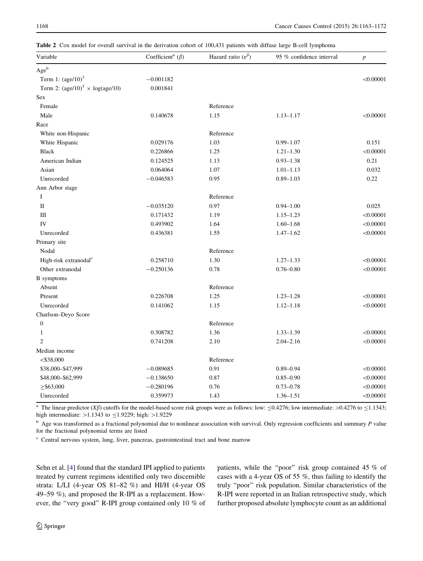<span id="page-5-0"></span>Table 2 Cox model for overall survival in the derivation cohort of 100,431 patients with diffuse large B-cell lymphoma

| Variable                                                     | Coefficient <sup>a</sup> ( $\beta$ ) | Hazard ratio ( $e^{\beta}$ ) | 95 % confidence interval | $\boldsymbol{p}$ |
|--------------------------------------------------------------|--------------------------------------|------------------------------|--------------------------|------------------|
| Ageb                                                         |                                      |                              |                          |                  |
| Term 1: $(\text{age}/10)^3$                                  | $-0.001182$                          |                              |                          | < 0.00001        |
| Term 2: $(\text{age}/10)^3 \times \text{log}(\text{age}/10)$ | 0.001841                             |                              |                          |                  |
| Sex                                                          |                                      |                              |                          |                  |
| Female                                                       |                                      | Reference                    |                          |                  |
| Male                                                         | 0.140678                             | 1.15                         | $1.13 - 1.17$            | < 0.00001        |
| Race                                                         |                                      |                              |                          |                  |
| White non-Hispanic                                           |                                      | Reference                    |                          |                  |
| White Hispanic                                               | 0.029176                             | 1.03                         | $0.99 - 1.07$            | 0.151            |
| <b>Black</b>                                                 | 0.226866                             | 1.25                         | $1.21 - 1.30$            | < 0.00001        |
| American Indian                                              | 0.124525                             | 1.13                         | $0.93 - 1.38$            | 0.21             |
| Asian                                                        | 0.064064                             | 1.07                         | $1.01 - 1.13$            | 0.032            |
| Unrecorded                                                   | $-0.046583$                          | 0.95                         | $0.89 - 1.03$            | 0.22             |
| Ann Arbor stage                                              |                                      |                              |                          |                  |
| $\bf{I}$                                                     |                                      | Reference                    |                          |                  |
| $\mathbf{I}$                                                 | $-0.035120$                          | 0.97                         | $0.94 - 1.00$            | 0.025            |
| Ш                                                            | 0.171432                             | 1.19                         | $1.15 - 1.23$            | < 0.00001        |
| IV                                                           | 0.493902                             | 1.64                         | $1.60 - 1.68$            | < 0.00001        |
| Unrecorded                                                   | 0.436381                             | 1.55                         | $1.47 - 1.62$            | < 0.00001        |
| Primary site                                                 |                                      |                              |                          |                  |
| Nodal                                                        |                                      | Reference                    |                          |                  |
| High-risk extranodal <sup>c</sup>                            | 0.258710                             | 1.30                         | $1.27 - 1.33$            | < 0.00001        |
| Other extranodal                                             | $-0.250136$                          | 0.78                         | $0.76 - 0.80$            | < 0.00001        |
| <b>B</b> symptoms                                            |                                      |                              |                          |                  |
| Absent                                                       |                                      | Reference                    |                          |                  |
| Present                                                      | 0.226708                             | 1.25                         | $1.23 - 1.28$            | < 0.00001        |
| Unrecorded                                                   | 0.141062                             | 1.15                         | $1.12 - 1.18$            | < 0.00001        |
| Charlson-Deyo Score                                          |                                      |                              |                          |                  |
| $\boldsymbol{0}$                                             |                                      | Reference                    |                          |                  |
| 1                                                            | 0.308782                             | 1.36                         | $1.33 - 1.39$            | < 0.00001        |
| $\overline{c}$                                               | 0.741208                             | 2.10                         | $2.04 - 2.16$            | < 0.00001        |
| Median income                                                |                                      |                              |                          |                  |
| $<$ \$38,000                                                 |                                      | Reference                    |                          |                  |
| \$38,000-\$47,999                                            | $-0.089685$                          | 0.91                         | $0.89 - 0.94$            | < 0.00001        |
| \$48,000-\$62,999                                            | $-0.138650$                          | 0.87                         | $0.85 - 0.90$            | < 0.00001        |
| $\geq$ \$63,000                                              | $-0.280196$                          | 0.76                         | $0.73 - 0.78$            | < 0.00001        |
| Unrecorded                                                   | 0.359973                             | 1.43                         | $1.36 - 1.51$            | < 0.00001        |

<sup>a</sup> The linear predictor (X $\beta$ ) cutoffs for the model-based score risk groups were as follows: low:  $\leq 0.4276$ ; low intermediate:  $>0.4276$  to  $\leq 1.1343$ ; high intermediate:  $>1.1343$  to  $\leq$ 1.9229; high:  $>1.9229$ 

 $<sup>b</sup>$  Age was transformed as a fractional polynomial due to nonlinear association with survival. Only regression coefficients and summary P value</sup> for the fractional polynomial terms are listed

<sup>c</sup> Central nervous system, lung, liver, pancreas, gastrointestinal tract and bone marrow

Sehn et al. [[4\]](#page-8-0) found that the standard IPI applied to patients treated by current regimens identified only two discernible strata: L/LI (4-year OS 81–82 %) and HI/H (4-year OS 49–59 %), and proposed the R-IPI as a replacement. However, the ''very good'' R-IPI group contained only 10 % of patients, while the ''poor'' risk group contained 45 % of cases with a 4-year OS of 55 %, thus failing to identify the truly ''poor'' risk population. Similar characteristics of the R-IPI were reported in an Italian retrospective study, which further proposed absolute lymphocyte count as an additional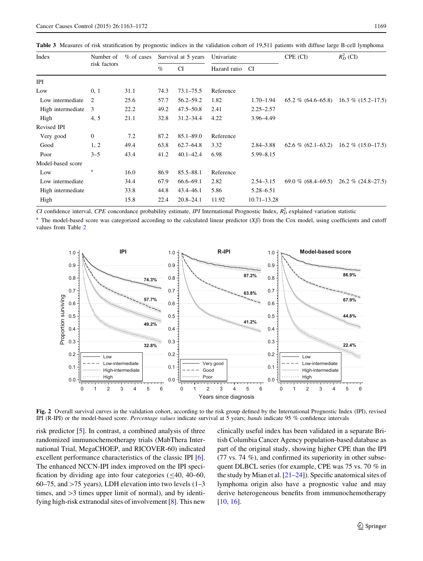<span id="page-6-0"></span>Table 3 Measures of risk stratification by prognostic indices in the validation cohort of 19,511 patients with diffuse large B-cell lymphoma

| Index             | Number of<br>risk factors | % of cases | Survival at 5 years |               | Univariate   |                 | CPE (CI)             | $R_D^2$ (CI)                                |
|-------------------|---------------------------|------------|---------------------|---------------|--------------|-----------------|----------------------|---------------------------------------------|
|                   |                           |            | $\%$                | <b>CI</b>     | Hazard ratio | CI              |                      |                                             |
| IPI               |                           |            |                     |               |              |                 |                      |                                             |
| Low               | 0, 1                      | 31.1       | 74.3                | $73.1 - 75.5$ | Reference    |                 |                      |                                             |
| Low intermediate  | 2                         | 25.6       | 57.7                | $56.2 - 59.2$ | 1.82         | $1.70 - 1.94$   |                      | $65.2\%$ (64.6–65.8) 16.3 % (15.2–17.5)     |
| High intermediate | 3                         | 22.2       | 49.2                | $47.5 - 50.8$ | 2.41         | $2.25 - 2.57$   |                      |                                             |
| High              | 4, 5                      | 21.1       | 32.8                | $31.2 - 34.4$ | 4.22         | 3.96-4.49       |                      |                                             |
| Revised IPI       |                           |            |                     |               |              |                 |                      |                                             |
| Very good         | $\mathbf{0}$              | 7.2        | 87.2                | $85.1 - 89.0$ | Reference    |                 |                      |                                             |
| Good              | 1, 2                      | 49.4       | 63.8                | $62.7 - 64.8$ | 3.32         | $2.84 - 3.88$   |                      | $62.6\%$ $(62.1-63.2)$ 16.2 % $(15.0-17.5)$ |
| Poor              | $3 - 5$                   | 43.4       | 41.2                | $40.1 - 42.4$ | 6.98         | 5.99 - 8.15     |                      |                                             |
| Model-based score |                           |            |                     |               |              |                 |                      |                                             |
| Low               | a                         | 16.0       | 86.9                | $85.5 - 88.1$ | Reference    |                 |                      |                                             |
| Low intermediate  |                           | 34.4       | 67.9                | 66.6–69.1     | 2.82         | $2.54 - 3.15$   | $69.0\%$ (68.4–69.5) | $26.2 \% (24.8 - 27.5)$                     |
| High intermediate |                           | 33.8       | 44.8                | $43.4 - 46.1$ | 5.86         | 5.28-6.51       |                      |                                             |
| High              |                           | 15.8       | 22.4                | $20.8 - 24.1$ | 11.92        | $10.71 - 13.28$ |                      |                                             |

CI confidence interval, CPE concordance probability estimate, IPI International Prognostic Index,  $R_D^2$  explained variation statistic

<sup>a</sup> The model-based score was categorized according to the calculated linear predictor  $(X\beta)$  from the Cox model, using coefficients and cutoff values from Table [2](#page-5-0)



Fig. 2 Overall survival curves in the validation cohort, according to the risk group defined by the International Prognostic Index (IPI), revised IPI (R-IPI) or the model-based score. Percentage values indicate survival at 5 years; bands indicate 95 % confidence intervals

risk predictor [\[5](#page-8-0)]. In contrast, a combined analysis of three randomized immunochemotherapy trials (MabThera International Trial, MegaCHOEP, and RICOVER-60) indicated excellent performance characteristics of the classic IPI [\[6](#page-8-0)]. The enhanced NCCN-IPI index improved on the IPI specification by dividing age into four categories  $(\leq 40, 40-60,$ 60–75, and  $>$ 75 years), LDH elevation into two levels (1–3 times, and  $>3$  times upper limit of normal), and by identifying high-risk extranodal sites of involvement [\[8](#page-8-0)]. This new clinically useful index has been validated in a separate British Columbia Cancer Agency population-based database as part of the original study, showing higher CPE than the IPI (77 vs. 74 %), and confirmed its superiority in other subsequent DLBCL series (for example, CPE was 75 vs. 70 % in the study by Mian et al. [\[21–24](#page-8-0)]). Specific anatomical sites of lymphoma origin also have a prognostic value and may derive heterogeneous benefits from immunochemotherapy [\[10](#page-8-0), [16](#page-8-0)].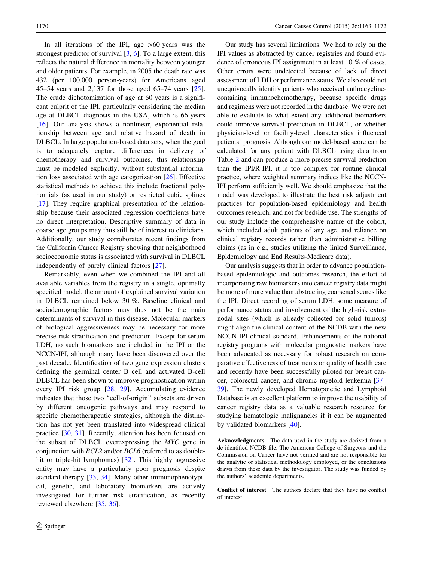In all iterations of the IPI, age  $>60$  years was the strongest predictor of survival  $[3, 6]$  $[3, 6]$  $[3, 6]$  $[3, 6]$ . To a large extent, this reflects the natural difference in mortality between younger and older patients. For example, in 2005 the death rate was 432 (per 100,000 person-years) for Americans aged 45–54 years and 2,137 for those aged 65–74 years [\[25](#page-8-0)]. The crude dichotomization of age at 60 years is a significant culprit of the IPI, particularly considering the median age at DLBCL diagnosis in the USA, which is 66 years [\[16](#page-8-0)]. Our analysis shows a nonlinear, exponential relationship between age and relative hazard of death in DLBCL. In large population-based data sets, when the goal is to adequately capture differences in delivery of chemotherapy and survival outcomes, this relationship must be modeled explicitly, without substantial information loss associated with age categorization [\[26](#page-8-0)]. Effective statistical methods to achieve this include fractional polynomials (as used in our study) or restricted cubic splines [\[17](#page-8-0)]. They require graphical presentation of the relationship because their associated regression coefficients have no direct interpretation. Descriptive summary of data in coarse age groups may thus still be of interest to clinicians. Additionally, our study corroborates recent findings from the California Cancer Registry showing that neighborhood socioeconomic status is associated with survival in DLBCL independently of purely clinical factors [\[27](#page-8-0)].

Remarkably, even when we combined the IPI and all available variables from the registry in a single, optimally specified model, the amount of explained survival variation in DLBCL remained below 30 %. Baseline clinical and sociodemographic factors may thus not be the main determinants of survival in this disease. Molecular markers of biological aggressiveness may be necessary for more precise risk stratification and prediction. Except for serum LDH, no such biomarkers are included in the IPI or the NCCN-IPI, although many have been discovered over the past decade. Identification of two gene expression clusters defining the germinal center B cell and activated B-cell DLBCL has been shown to improve prognostication within every IPI risk group [[28,](#page-8-0) [29](#page-8-0)]. Accumulating evidence indicates that those two ''cell-of-origin'' subsets are driven by different oncogenic pathways and may respond to specific chemotherapeutic strategies, although the distinction has not yet been translated into widespread clinical practice [[30,](#page-8-0) [31\]](#page-8-0). Recently, attention has been focused on the subset of DLBCL overexpressing the MYC gene in conjunction with BCL2 and/or BCL6 (referred to as double-hit or triple-hit lymphomas) [\[32](#page-9-0)]. This highly aggressive entity may have a particularly poor prognosis despite standard therapy [[33,](#page-9-0) [34\]](#page-9-0). Many other immunophenotypical, genetic, and laboratory biomarkers are actively investigated for further risk stratification, as recently reviewed elsewhere [[35,](#page-9-0) [36\]](#page-9-0).

Our study has several limitations. We had to rely on the IPI values as abstracted by cancer registries and found evidence of erroneous IPI assignment in at least 10 % of cases. Other errors were undetected because of lack of direct assessment of LDH or performance status. We also could not unequivocally identify patients who received anthracyclinecontaining immunochemotherapy, because specific drugs and regimens were not recorded in the database. We were not able to evaluate to what extent any additional biomarkers could improve survival prediction in DLBCL, or whether physician-level or facility-level characteristics influenced patients' prognosis. Although our model-based score can be calculated for any patient with DLBCL using data from Table [2](#page-5-0) and can produce a more precise survival prediction than the IPI/R-IPI, it is too complex for routine clinical practice, where weighted summary indices like the NCCN-IPI perform sufficiently well. We should emphasize that the model was developed to illustrate the best risk adjustment practices for population-based epidemiology and health outcomes research, and not for bedside use. The strengths of our study include the comprehensive nature of the cohort, which included adult patients of any age, and reliance on clinical registry records rather than administrative billing claims (as in e.g., studies utilizing the linked Surveillance, Epidemiology and End Results-Medicare data).

Our analysis suggests that in order to advance populationbased epidemiologic and outcomes research, the effort of incorporating raw biomarkers into cancer registry data might be more of more value than abstracting coarsened scores like the IPI. Direct recording of serum LDH, some measure of performance status and involvement of the high-risk extranodal sites (which is already collected for solid tumors) might align the clinical content of the NCDB with the new NCCN-IPI clinical standard. Enhancements of the national registry programs with molecular prognostic markers have been advocated as necessary for robust research on comparative effectiveness of treatments or quality of health care and recently have been successfully piloted for breast cancer, colorectal cancer, and chronic myeloid leukemia [\[37](#page-9-0)– [39\]](#page-9-0). The newly developed Hematopoietic and Lymphoid Database is an excellent platform to improve the usability of cancer registry data as a valuable research resource for studying hematologic malignancies if it can be augmented by validated biomarkers [\[40\]](#page-9-0).

Acknowledgments The data used in the study are derived from a de-identified NCDB file. The American College of Surgeons and the Commission on Cancer have not verified and are not responsible for the analytic or statistical methodology employed, or the conclusions drawn from these data by the investigator. The study was funded by the authors' academic departments.

Conflict of interest The authors declare that they have no conflict of interest.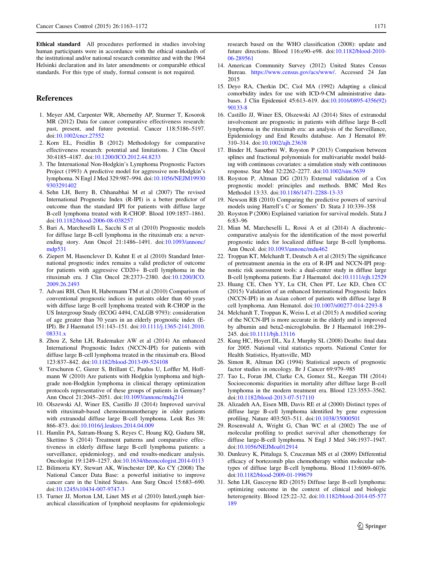<span id="page-8-0"></span>Ethical standard All procedures performed in studies involving human participants were in accordance with the ethical standards of the institutional and/or national research committee and with the 1964 Helsinki declaration and its later amendments or comparable ethical standards. For this type of study, formal consent is not required.

## References

- 1. Meyer AM, Carpenter WR, Abernethy AP, Sturmer T, Kosorok MR (2012) Data for cancer comparative effectiveness research: past, present, and future potential. Cancer 118:5186–5197. doi:[10.1002/cncr.27552](http://dx.doi.org/10.1002/cncr.27552)
- 2. Korn EL, Freidlin B (2012) Methodology for comparative effectiveness research: potential and limitations. J Clin Oncol 30:4185–4187. doi:[10.1200/JCO.2012.44.8233](http://dx.doi.org/10.1200/JCO.2012.44.8233)
- 3. The International Non-Hodgkin's Lymphoma Prognostic Factors Project (1993) A predictive model for aggressive non-Hodgkin's lymphoma. N Engl J Med 329:987–994. doi:[10.1056/NEJM19930](http://dx.doi.org/10.1056/NEJM199309303291402) [9303291402](http://dx.doi.org/10.1056/NEJM199309303291402)
- 4. Sehn LH, Berry B, Chhanabhai M et al (2007) The revised International Prognostic Index (R-IPI) is a better predictor of outcome than the standard IPI for patients with diffuse large B-cell lymphoma treated with R-CHOP. Blood 109:1857–1861. doi:[10.1182/blood-2006-08-038257](http://dx.doi.org/10.1182/blood-2006-08-038257)
- 5. Bari A, Marcheselli L, Sacchi S et al (2010) Prognostic models for diffuse large B-cell lymphoma in the rituximab era: a neverending story. Ann Oncol 21:1486–1491. doi[:10.1093/annonc/](http://dx.doi.org/10.1093/annonc/mdp531) [mdp531](http://dx.doi.org/10.1093/annonc/mdp531)
- 6. Ziepert M, Hasenclever D, Kuhnt E et al (2010) Standard International prognostic index remains a valid predictor of outcome for patients with aggressive  $CD20+$  B-cell lymphoma in the rituximab era. J Clin Oncol 28:2373–2380. doi[:10.1200/JCO.](http://dx.doi.org/10.1200/JCO.2009.26.2493) [2009.26.2493](http://dx.doi.org/10.1200/JCO.2009.26.2493)
- 7. Advani RH, Chen H, Habermann TM et al (2010) Comparison of conventional prognostic indices in patients older than 60 years with diffuse large B-cell lymphoma treated with R-CHOP in the US Intergroup Study (ECOG 4494, CALGB 9793): consideration of age greater than 70 years in an elderly prognostic index (E-IPI). Br J Haematol 151:143–151. doi:[10.1111/j.1365-2141.2010.](http://dx.doi.org/10.1111/j.1365-2141.2010.08331.x) [08331.x](http://dx.doi.org/10.1111/j.1365-2141.2010.08331.x)
- 8. Zhou Z, Sehn LH, Rademaker AW et al (2014) An enhanced International Prognostic Index (NCCN-IPI) for patients with diffuse large B-cell lymphoma treated in the rituximab era. Blood 123:837–842. doi:[10.1182/blood-2013-09-524108](http://dx.doi.org/10.1182/blood-2013-09-524108)
- 9. Terschuren C, Gierer S, Brillant C, Paulus U, Loffler M, Hoffmann W (2010) Are patients with Hodgkin lymphoma and highgrade non-Hodgkin lymphoma in clinical therapy optimization protocols representative of these groups of patients in Germany? Ann Oncol 21:2045–2051. doi:[10.1093/annonc/mdq214](http://dx.doi.org/10.1093/annonc/mdq214)
- 10. Olszewski AJ, Winer ES, Castillo JJ (2014) Improved survival with rituximab-based chemoimmunotherapy in older patients with extranodal diffuse large B-cell lymphoma. Leuk Res 38: 866–873. doi[:10.1016/j.leukres.2014.04.009](http://dx.doi.org/10.1016/j.leukres.2014.04.009)
- 11. Hamlin PA, Satram-Hoang S, Reyes C, Hoang KQ, Guduru SR, Skettino S (2014) Treatment patterns and comparative effectiveness in elderly diffuse large B-cell lymphoma patients: a surveillance, epidemiology, and end results-medicare analysis. Oncologist 19:1249–1257. doi:[10.1634/theoncologist.2014-0113](http://dx.doi.org/10.1634/theoncologist.2014-0113)
- 12. Bilimoria KY, Stewart AK, Winchester DP, Ko CY (2008) The National Cancer Data Base: a powerful initiative to improve cancer care in the United States. Ann Surg Oncol 15:683–690. doi:[10.1245/s10434-007-9747-3](http://dx.doi.org/10.1245/s10434-007-9747-3)
- 13. Turner JJ, Morton LM, Linet MS et al (2010) InterLymph hierarchical classification of lymphoid neoplasms for epidemiologic

research based on the WHO classification (2008): update and future directions. Blood 116:e90–e98. doi[:10.1182/blood-2010-](http://dx.doi.org/10.1182/blood-2010-06-289561) [06-289561](http://dx.doi.org/10.1182/blood-2010-06-289561)

- 14. American Community Survey (2012) United States Census Bureau. <https://www.census.gov/acs/www/>. Accessed 24 Jan 2015
- 15. Deyo RA, Cherkin DC, Ciol MA (1992) Adapting a clinical comorbidity index for use with ICD-9-CM administrative databases. J Clin Epidemiol 45:613–619. doi[:10.1016/0895-4356\(92\)](http://dx.doi.org/10.1016/0895-4356(92)90133-8) [90133-8](http://dx.doi.org/10.1016/0895-4356(92)90133-8)
- 16. Castillo JJ, Winer ES, Olszewski AJ (2014) Sites of extranodal involvement are prognostic in patients with diffuse large B-cell lymphoma in the rituximab era: an analysis of the Surveillance, Epidemiology and End Results database. Am J Hematol 89: 310–314. doi:[10.1002/ajh.23638](http://dx.doi.org/10.1002/ajh.23638)
- 17. Binder H, Sauerbrei W, Royston P (2013) Comparison between splines and fractional polynomials for multivariable model building with continuous covariates: a simulation study with continuous response. Stat Med 32:2262–2277. doi[:10.1002/sim.5639](http://dx.doi.org/10.1002/sim.5639)
- 18. Royston P, Altman DG (2013) External validation of a Cox prognostic model: principles and methods. BMC Med Res Methodol 13:33. doi[:10.1186/1471-2288-13-33](http://dx.doi.org/10.1186/1471-2288-13-33)
- 19. Newson RB (2010) Comparing the predictive powers of survival models using Harrell's C or Somers' D. Stata J 10:339–358
- 20. Royston P (2006) Explained variation for survival models. Stata J 6:83–96
- 21. Mian M, Marcheselli L, Rossi A et al (2014) A diachroniccomparative analysis for the identification of the most powerful prognostic index for localized diffuse large B-cell lymphoma. Ann Oncol. doi:[10.1093/annonc/mdu462](http://dx.doi.org/10.1093/annonc/mdu462)
- 22. Troppan KT, Melchardt T, Deutsch A et al (2015) The significance of pretreatment anemia in the era of R-IPI and NCCN-IPI prognostic risk assessment tools: a dual-center study in diffuse large B-cell lymphoma patients. Eur J Haematol. doi[:10.1111/ejh.12529](http://dx.doi.org/10.1111/ejh.12529)
- 23. Huang CE, Chen YY, Lu CH, Chen PT, Lee KD, Chen CC (2015) Validation of an enhanced International Prognostic Index (NCCN-IPI) in an Asian cohort of patients with diffuse large B cell lymphoma. Ann Hematol. doi[:10.1007/s00277-014-2293-8](http://dx.doi.org/10.1007/s00277-014-2293-8)
- 24. Melchardt T, Troppan K, Weiss L et al (2015) A modified scoring of the NCCN-IPI is more accurate in the elderly and is improved by albumin and beta2-microglobulin. Br J Haematol 168:239– 245. doi:[10.1111/bjh.13116](http://dx.doi.org/10.1111/bjh.13116)
- 25. Kung HC, Hoyert DL, Xu J, Murphy SL (2008) Deaths: final data for 2005. National vital statistics reports. National Center for Health Statistics, Hyattsville, MD
- 26. Simon R, Altman DG (1994) Statistical aspects of prognostic factor studies in oncology. Br J Cancer 69:979–985
- 27. Tao L, Foran JM, Clarke CA, Gomez SL, Keegan TH (2014) Socioeconomic disparities in mortality after diffuse large B-cell lymphoma in the modern treatment era. Blood 123:3553–3562. doi:[10.1182/blood-2013-07-517110](http://dx.doi.org/10.1182/blood-2013-07-517110)
- 28. Alizadeh AA, Eisen MB, Davis RE et al (2000) Distinct types of diffuse large B-cell lymphoma identified by gene expression profiling. Nature 403:503–511. doi:[10.1038/35000501](http://dx.doi.org/10.1038/35000501)
- 29. Rosenwald A, Wright G, Chan WC et al (2002) The use of molecular profiling to predict survival after chemotherapy for diffuse large-B-cell lymphoma. N Engl J Med 346:1937–1947. doi:[10.1056/NEJMoa012914](http://dx.doi.org/10.1056/NEJMoa012914)
- 30. Dunleavy K, Pittaluga S, Czuczman MS et al (2009) Differential efficacy of bortezomib plus chemotherapy within molecular subtypes of diffuse large B-cell lymphoma. Blood 113:6069–6076. doi:[10.1182/blood-2009-01-199679](http://dx.doi.org/10.1182/blood-2009-01-199679)
- 31. Sehn LH, Gascoyne RD (2015) Diffuse large B-cell lymphoma: optimizing outcome in the context of clinical and biologic heterogeneity. Blood 125:22–32. doi[:10.1182/blood-2014-05-577](http://dx.doi.org/10.1182/blood-2014-05-577189) [189](http://dx.doi.org/10.1182/blood-2014-05-577189)